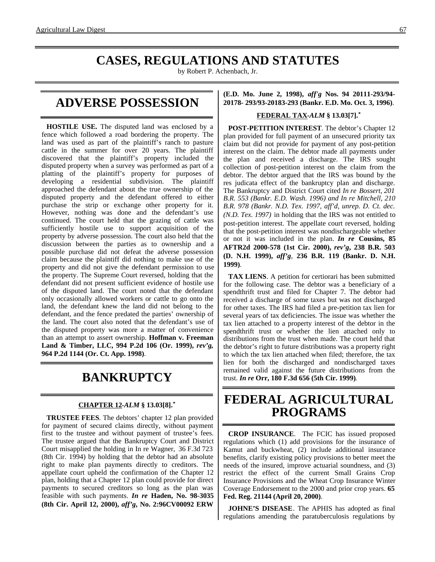### **CASES, REGULATIONS AND STATUTES**

by Robert P. Achenbach, Jr.

### **ADVERSE POSSESSION**

**HOSTILE USE.** The disputed land was enclosed by a fence which followed a road bordering the property. The land was used as part of the plaintiff's ranch to pasture cattle in the summer for over 20 years. The plaintiff discovered that the plaintiff's property included the disputed property when a survey was performed as part of a platting of the plaintiff's property for purposes of developing a residential subdivision. The plaintiff approached the defendant about the true ownership of the disputed property and the defendant offered to either purchase the strip or exchange other property for it. However, nothing was done and the defendant's use continued. The court held that the grazing of cattle was sufficiently hostile use to support acquisition of the property by adverse possession. The court also held that the discussion between the parties as to ownership and a possible purchase did not defeat the adverse possession claim because the plaintiff did nothing to make use of the property and did not give the defendant permission to use the property. The Supreme Court reversed, holding that the defendant did not present sufficient evidence of hostile use of the disputed land. The court noted that the defendant only occasionally allowed workers or cattle to go onto the land, the defendant knew the land did not belong to the defendant, and the fence predated the parties' ownership of the land. The court also noted that the defendant's use of the disputed property was more a matter of convenience than an attempt to assert ownership. **Hoffman v. Freeman Land & Timber, LLC, 994 P.2d 106 (Or. 1999),** *rev'g***, 964 P.2d 1144 (Or. Ct. App. 1998)**.

## **BANKRUPTCY**

### **CHAPTER 12 -***ALM* **§ 13.03[8].\***

**TRUSTEE FEES**. The debtors' chapter 12 plan provided for payment of secured claims directly, without payment first to the trustee and without payment of trustee's fees. The trustee argued that the Bankruptcy Court and District Court misapplied the holding in In re Wagner, 36 F.3d 723 (8th Cir. 1994) by holding that the debtor had an absolute right to make plan payments directly to creditors. The appellate court upheld the confirmation of the Chapter 12 plan, holding that a Chapter 12 plan could provide for direct payments to secured creditors so long as the plan was feasible with such payments. *In re* **Haden, No. 98-3035 (8th Cir. April 12, 2000),** *aff'g***, No. 2:96CV00092 ERW** **(E.D. Mo. June 2, 1998),** *aff'g* **Nos. 94 20111-293/94- 20178- 293/93-20183-293 (Bankr. E.D. Mo. Oct. 3, 1996)**.

#### **FEDERAL TAX -***ALM* **§ 13.03[7].\***

**POST-PETITION INTEREST**. The debtor's Chapter 12 plan provided for full payment of an unsecured priority tax claim but did not provide for payment of any post-petition interest on the claim. The debtor made all payments under the plan and received a discharge. The IRS sought collection of post-petition interest on the claim from the debtor. The debtor argued that the IRS was bound by the res judicata effect of the bankruptcy plan and discharge. The Bankruptcy and District Court cited *In re Bossert, 201 B.R. 553 (Bankr. E.D. Wash. 1996) and In re Mitchell, 210 B.R. 978 (Bankr. N.D. Tex. 1997, aff'd, unrep. D. Ct. dec. (N.D. Tex. 1997)* in holding that the IRS was not entitled to post-petition interest. The appellate court reversed, holding that the post-petition interest was nondischargeable whether or not it was included in the plan. *In re* **Cousins, 85 AFTR2d 2000-578 (1st Cir. 2000),** *rev'g***, 238 B.R. 503 (D. N.H. 1999),** *aff'g*, **236 B.R. 119 (Bankr. D. N.H. 1999)**.

**TAX LIENS**. A petition for certiorari has been submitted for the following case. The debtor was a beneficiary of a spendthrift trust and filed for Chapter 7. The debtor had received a discharge of some taxes but was not discharged for other taxes. The IRS had filed a pre-petition tax lien for several years of tax deficiencies. The issue was whether the tax lien attached to a property interest of the debtor in the spendthrift trust or whether the lien attached only to distributions from the trust when made. The court held that the debtor's right to future distributions was a property right to which the tax lien attached when filed; therefore, the tax lien for both the discharged and nondischarged taxes remained valid against the future distributions from the trust. *In re* **Orr, 180 F.3d 656 (5th Cir. 1999)**.

### **FEDERAL AGRICULTURAL PROGRAMS**

**CROP INSURANCE**. The FCIC has issued proposed regulations which (1) add provisions for the insurance of Kamut and buckwheat, (2) include additional insurance benefits, clarify existing policy provisions to better meet the needs of the insured, improve actuarial soundness, and (3) restrict the effect of the current Small Grains Crop Insurance Provisions and the Wheat Crop Insurance Winter Coverage Endorsement to the 2000 and prior crop years. **65 Fed. Reg. 21144 (April 20, 2000)**.

**JOHNE'S DISEASE**. The APHIS has adopted as final regulations amending the paratuberculosis regulations by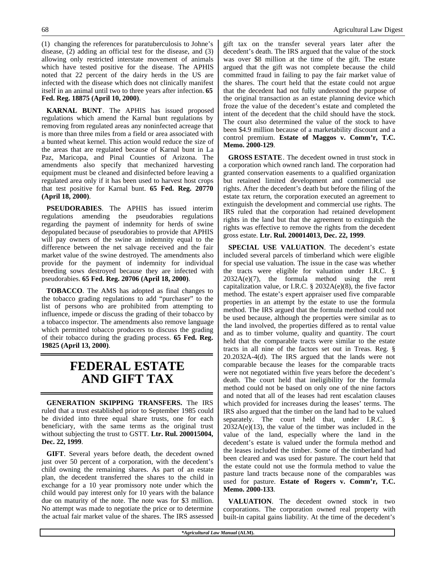(1) changing the references for paratuberculosis to Johne's disease, (2) adding an official test for the disease, and (3) allowing only restricted interstate movement of animals which have tested positive for the disease. The APHIS noted that 22 percent of the dairy herds in the US are infected with the disease which does not clinically manifest itself in an animal until two to three years after infection. **65 Fed. Reg. 18875 (April 10, 2000)**.

**KARNAL BUNT**. The APHIS has issued proposed regulations which amend the Karnal bunt regulations by removing from regulated areas any noninfected acreage that is more than three miles from a field or area associated with a bunted wheat kernel. This action would reduce the size of the areas that are regulated because of Karnal bunt in La Paz, Maricopa, and Pinal Counties of Arizona. The amendments also specify that mechanized harvesting equipment must be cleaned and disinfected before leaving a regulated area only if it has been used to harvest host crops that test positive for Karnal bunt. **65 Fed. Reg. 20770 (April 18, 2000)**.

**PSEUDORABIES**. The APHIS has issued interim regulations amending the pseudorabies regulations regarding the payment of indemnity for herds of swine depopulated because of pseudorabies to provide that APHIS will pay owners of the swine an indemnity equal to the difference between the net salvage received and the fair market value of the swine destroyed. The amendments also provide for the payment of indemnity for individual breeding sows destroyed because they are infected with pseudorabies. **65 Fed. Reg. 20706 (April 18, 2000)**.

**TOBACCO**. The AMS has adopted as final changes to the tobacco grading regulations to add "purchaser" to the list of persons who are prohibited from attempting to influence, impede or discuss the grading of their tobacco by a tobacco inspector. The amendments also remove language which permitted tobacco producers to discuss the grading of their tobacco during the grading process. **65 Fed. Reg. 19825 (April 13, 2000)**.

### **FEDERAL ESTATE AND GIFT TAX**

**GENERATION SKIPPING TRANSFERS.** The IRS ruled that a trust established prior to September 1985 could be divided into three equal share trusts, one for each beneficiary, with the same terms as the original trust without subjecting the trust to GSTT. **Ltr. Rul. 200015004, Dec. 22, 1999**.

**GIFT**. Several years before death, the decedent owned just over 50 percent of a corporation, with the decedent's child owning the remaining shares. As part of an estate plan, the decedent transferred the shares to the child in exchange for a 10 year promissory note under which the child would pay interest only for 10 years with the balance due on maturity of the note. The note was for \$3 million. No attempt was made to negotiate the price or to determine the actual fair market value of the shares. The IRS assessed gift tax on the transfer several years later after the decedent's death. The IRS argued that the value of the stock was over \$8 million at the time of the gift. The estate argued that the gift was not complete because the child committed fraud in failing to pay the fair market value of the shares. The court held that the estate could not argue that the decedent had not fully understood the purpose of the original transaction as an estate planning device which froze the value of the decedent's estate and completed the intent of the decedent that the child should have the stock. The court also determined the value of the stock to have been \$4.9 million because of a marketability discount and a control premium. **Estate of Maggos v. Comm'r, T.C. Memo. 2000-129**.

**GROSS ESTATE**. The decedent owned in trust stock in a corporation which owned ranch land. The corporation had granted conservation easements to a qualified organization but retained limited development and commercial use rights. After the decedent's death but before the filing of the estate tax return, the corporation executed an agreement to extinguish the development and commercial use rights. The IRS ruled that the corporation had retained development rights in the land but that the agreement to extinguish the rights was effective to remove the rights from the decedent gross estate. **Ltr. Rul. 200014013, Dec. 22, 1999**.

**SPECIAL USE VALUATION**. The decedent's estate included several parcels of timberland which were eligible for special use valuation. The issue in the case was whether the tracts were eligible for valuation under I.R.C. §  $2032A(e)(7)$ , the formula method using the rent capitalization value, or I.R.C.  $\S$  2032A(e)(8), the five factor method. The estate's expert appraiser used five comparable properties in an attempt by the estate to use the formula method. The IRS argued that the formula method could not be used because, although the properties were similar as to the land involved, the properties differed as to rental value and as to timber volume, quality and quantity. The court held that the comparable tracts were similar to the estate tracts in all nine of the factors set out in Treas. Reg. § 20.2032A-4(d). The IRS argued that the lands were not comparable because the leases for the comparable tracts were not negotiated within five years before the decedent's death. The court held that ineligibility for the formula method could not be based on only one of the nine factors and noted that all of the leases had rent escalation clauses which provided for increases during the leases' terms. The IRS also argued that the timber on the land had to be valued separately. The court held that, under I.R.C. §  $2032A(e)(13)$ , the value of the timber was included in the value of the land, especially where the land in the decedent's estate is valued under the formula method and the leases included the timber. Some of the timberland had been cleared and was used for pasture. The court held that the estate could not use the formula method to value the pasture land tracts because none of the comparables was used for pasture. **Estate of Rogers v. Comm'r, T.C. Memo. 2000-133**.

**VALUATION**. The decedent owned stock in two corporations. The corporation owned real property with built-in capital gains liability. At the time of the decedent's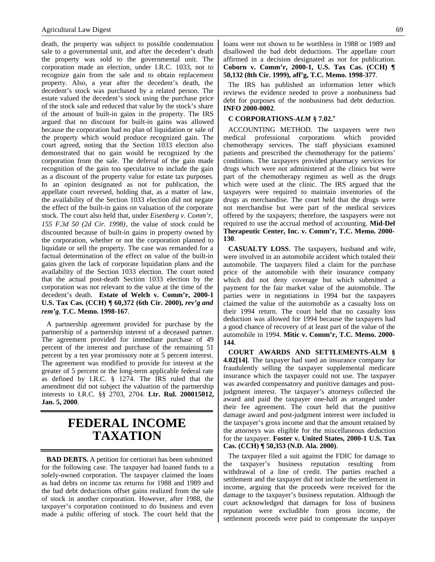death, the property was subject to possible condemnation sale to a governmental unit, and after the decedent's death the property was sold to the governmental unit. The corporation made an election, under I.R.C. 1033, not to recognize gain from the sale and to obtain replacement property. Also, a year after the decedent's death, the decedent's stock was purchased by a related person. The estate valued the decedent's stock using the purchase price of the stock sale and reduced that value by the stock's share of the amount of built-in gains in the property. The IRS argued that no discount for built-in gains was allowed because the corporation had no plan of liquidation or sale of the property which would produce recognized gain. The court agreed, noting that the Section 1033 election also demonstrated that no gain would be recognized by the corporation from the sale. The deferral of the gain made recognition of the gain too speculative to include the gain as a discount of the property value for estate tax purposes. In an opinion designated as not for publication, the appellate court reversed, holding that, as a matter of law, the availability of the Section 1033 election did not negate the effect of the built-in gains on valuation of the corporate stock. The court also held that, under *Eisenberg v. Comm'r, 155 F.3d 50 (2d Cir. 1998)*, the value of stock could be discounted because of built-in gains in property owned by the corporation, whether or not the corporation planned to liquidate or sell the property. The case was remanded for a factual determination of the effect on value of the built-in gains given the lack of corporate liquidation plans and the availability of the Section 1033 election. The court noted that the actual post-death Section 1033 election by the corporation was not relevant to the value at the time of the decedent's death. **Estate of Welch v. Comm'r, 2000-1 U.S. Tax Cas. (CCH) ¶ 60,372 (6th Cir. 2000),** *rev'g and rem'g*, **T.C. Memo. 1998-167**.

A partnership agreement provided for purchase by the partnership of a partnership interest of a deceased partner. The agreement provided for immediate purchase of 49 percent of the interest and purchase of the remaining 51 percent by a ten year promissory note at 5 percent interest. The agreement was modified to provide for interest at the greater of 5 percent or the long-term applicable federal rate as defined by I.R.C. § 1274. The IRS ruled that the amendment did not subject the valuation of the partnership interests to I.R.C. §§ 2703, 2704. **Ltr. Rul. 200015012, Jan. 5, 2000**.

### **FEDERAL INCOME TAXATION**

**BAD DEBTS.** A petition for certiorari has been submitted for the following case. The taxpayer had loaned funds to a solely-owned corporation. The taxpayer claimed the loans as bad debts on income tax returns for 1988 and 1989 and the bad debt deductions offset gains realized from the sale of stock in another corporation. However, after 1988, the taxpayer's corporation continued to do business and even made a public offering of stock. The court held that the loans were not shown to be worthless in 1988 or 1989 and disallowed the bad debt deductions. The appellate court affirmed in a decision designated as not for publication. **Coborn v. Comm'r, 2000-1, U.S. Tax Cas. (CCH) ¶ 50,132 (8th Cir. 1999), aff'g, T.C. Memo. 1998-377**.

The IRS has published an information letter which reviews the evidence needed to prove a nonbusiness bad debt for purposes of the nonbusiness bad debt deduction. **INFO 2000-0002**.

#### **C CORPORATIONS-***ALM* **§ 7.02.\***

ACCOUNTING METHOD. The taxpayers were two medical professional corporations which provided chemotherapy services. The staff physicians examined patients and prescribed the chemotherapy for the patients' conditions. The taxpayers provided pharmacy services for drugs which were not administered at the clinics but were part of the chemotherapy regimen as well as the drugs which were used at the clinic. The IRS argued that the taxpayers were required to maintain inventories of the drugs as merchandise. The court held that the drugs were not merchandise but were part of the medical services offered by the taxpayers; therefore, the taxpayers were not required to use the accrual method of accounting. **Mid-Del Therapeutic Center, Inc. v. Comm'r, T.C. Memo. 2000- 130**.

**CASUALTY LOSS**. The taxpayers, husband and wife, were involved in an automobile accident which totaled their automobile. The taxpayers filed a claim for the purchase price of the automobile with their insurance company which did not deny coverage but which submitted a payment for the fair market value of the automobile. The parties were in negotiations in 1994 but the taxpayers claimed the value of the automobile as a casualty loss on their 1994 return. The court held that no casualty loss deduction was allowed for 1994 because the taxpayers had a good chance of recovery of at least part of the value of the automobile in 1994. **Mitic v. Comm'r, T.C. Memo. 2000- 144**.

**COURT AWARDS AND SETTLEMENTS-ALM § 4.02[14]**. The taxpayer had sued an insurance company for fraudulently selling the taxpayer supplemental medicare insurance which the taxpayer could not use. The taxpayer was awarded compensatory and punitive damages and postjudgment interest. The taxpayer's attorneys collected the award and paid the taxpayer one-half as arranged under their fee agreement. The court held that the punitive damage award and post-judgment interest were included in the taxpayer's gross income and that the amount retained by the attorneys was eligible for the miscellaneous deduction for the taxpayer. **Foster v. United States, 2000-1 U.S. Tax Cas. (CCH) ¶ 50,353 (N.D. Ala. 2000)**.

The taxpayer filed a suit against the FDIC for damage to the taxpayer's business reputation resulting from withdrawal of a line of credit. The parties reached a settlement and the taxpayer did not include the settlement in income, arguing that the proceeds were received for the damage to the taxpayer's business reputation. Although the court acknowledged that damages for loss of business reputation were excludible from gross income, the settlement proceeds were paid to compensate the taxpayer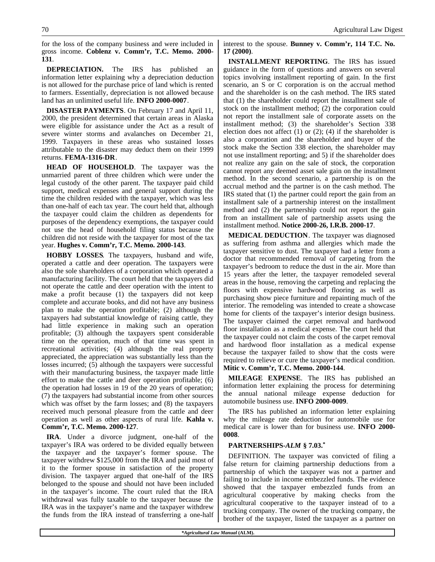for the loss of the company business and were included in gross income. **Coblenz v. Comm'r, T.C. Memo. 2000- 131**.

**DEPRECIATION.** The IRS has published an information letter explaining why a depreciation deduction is not allowed for the purchase price of land which is rented to farmers. Essentially, depreciation is not allowed because land has an unlimited useful life. **INFO 2000-0007**.

**DISASTER PAYMENTS**. On February 17 and April 11, 2000, the president determined that certain areas in Alaska were eligible for assistance under the Act as a result of severe winter storms and avalanches on December 21, 1999. Taxpayers in these areas who sustained losses attributable to the disaster may deduct them on their 1999 returns. **FEMA-1316-DR**.

**HEAD OF HOUSEHOLD**. The taxpayer was the unmarried parent of three children which were under the legal custody of the other parent. The taxpayer paid child support, medical expenses and general support during the time the children resided with the taxpayer, which was less than one-half of each tax year. The court held that, although the taxpayer could claim the children as dependents for purposes of the dependency exemptions, the taxpayer could not use the head of household filing status because the children did not reside with the taxpayer for most of the tax year. **Hughes v. Comm'r, T.C. Memo. 2000-143**.

**HOBBY LOSSES**. The taxpayers, husband and wife, operated a cattle and deer operation. The taxpayers were also the sole shareholders of a corporation which operated a manufacturing facility. The court held that the taxpayers did not operate the cattle and deer operation with the intent to make a profit because (1) the taxpayers did not keep complete and accurate books, and did not have any business plan to make the operation profitable; (2) although the taxpayers had substantial knowledge of raising cattle, they had little experience in making such an operation profitable; (3) although the taxpayers spent considerable time on the operation, much of that time was spent in recreational activities; (4) although the real property appreciated, the appreciation was substantially less than the losses incurred; (5) although the taxpayers were successful with their manufacturing business, the taxpayer made little effort to make the cattle and deer operation profitable; (6) the operation had losses in 19 of the 20 years of operation; (7) the taxpayers had substantial income from other sources which was offset by the farm losses; and (8) the taxpayers received much personal pleasure from the cattle and deer operation as well as other aspects of rural life. **Kahla v. Comm'r, T.C. Memo. 2000-127**.

**IRA**. Under a divorce judgment, one-half of the taxpayer's IRA was ordered to be divided equally between the taxpayer and the taxpayer's former spouse. The taxpayer withdrew \$125,000 from the IRA and paid most of it to the former spouse in satisfaction of the property division. The taxpayer argued that one-half of the IRS belonged to the spouse and should not have been included in the taxpayer's income. The court ruled that the IRA withdrawal was fully taxable to the taxpayer because the IRA was in the taxpayer's name and the taxpayer withdrew the funds from the IRA instead of transferring a one-half interest to the spouse. **Bunney v. Comm'r, 114 T.C. No. 17 (2000)**.

**INSTALLMENT REPORTING**. The IRS has issued guidance in the form of questions and answers on several topics involving installment reporting of gain. In the first scenario, an S or C corporation is on the accrual method and the shareholder is on the cash method. The IRS stated that (1) the shareholder could report the installment sale of stock on the installment method; (2) the corporation could not report the installment sale of corporate assets on the installment method; (3) the shareholder's Section 338 election does not affect  $(1)$  or  $(2)$ ;  $(4)$  if the shareholder is also a corporation and the shareholder and buyer of the stock make the Section 338 election, the shareholder may not use installment reporting; and 5) if the shareholder does not realize any gain on the sale of stock, the corporation cannot report any deemed asset sale gain on the installment method. In the second scenario, a partnership is on the accrual method and the partner is on the cash method. The IRS stated that (1) the partner could report the gain from an installment sale of a partnership interest on the installment method and (2) the partnership could not report the gain from an installment sale of partnership assets using the installment method. **Notice 2000-26, I.R.B. 2000-17**.

**MEDICAL DEDUCTION**. The taxpayer was diagnosed as suffering from asthma and allergies which made the taxpayer sensitive to dust. The taxpayer had a letter from a doctor that recommended removal of carpeting from the taxpayer's bedroom to reduce the dust in the air. More than 15 years after the letter, the taxpayer remodeled several areas in the house, removing the carpeting and replacing the floors with expensive hardwood flooring as well as purchasing show piece furniture and repainting much of the interior. The remodeling was intended to create a showcase home for clients of the taxpayer's interior design business. The taxpayer claimed the carpet removal and hardwood floor installation as a medical expense. The court held that the taxpayer could not claim the costs of the carpet removal and hardwood floor installation as a medical expense because the taxpayer failed to show that the costs were required to relieve or cure the taxpayer's medical condition. **Mitic v. Comm'r, T.C. Memo. 2000-144**.

**MILEAGE EXPENSE**. The IRS has published an information letter explaining the process for determining the annual national mileage expense deduction for automobile business use. **INFO 2000-0009**.

The IRS has published an information letter explaining why the mileage rate deduction for automobile use for medical care is lower than for business use. **INFO 2000- 0008**.

#### **PARTNERSHIPS-***ALM* **§ 7.03.\***

DEFINITION. The taxpayer was convicted of filing a false return for claiming partnership deductions from a partnership of which the taxpayer was not a partner and failing to include in income embezzled funds. The evidence showed that the taxpayer embezzled funds from an agricultural cooperative by making checks from the agricultural cooperative to the taxpayer instead of to a trucking company. The owner of the trucking company, the brother of the taxpayer, listed the taxpayer as a partner on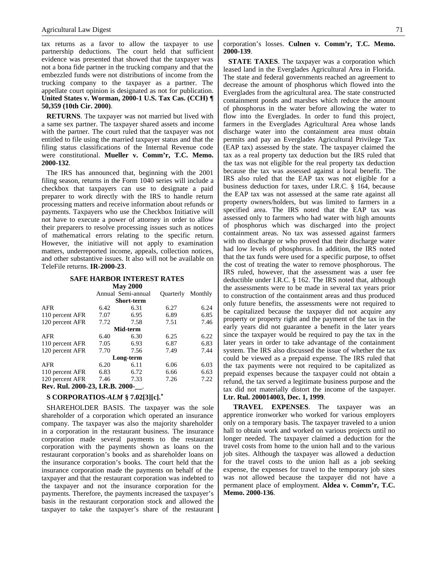tax returns as a favor to allow the taxpayer to use partnership deductions. The court held that sufficient evidence was presented that showed that the taxpayer was not a bona fide partner in the trucking company and that the embezzled funds were not distributions of income from the trucking company to the taxpayer as a partner. The appellate court opinion is designated as not for publication. **United States v. Worman, 2000-1 U.S. Tax Cas. (CCH) ¶ 50,359 (10th Cir. 2000)**.

**RETURNS**. The taxpayer was not married but lived with a same sex partner. The taxpayer shared assets and income with the partner. The court ruled that the taxpayer was not entitled to file using the married taxpayer status and that the filing status classifications of the Internal Revenue code were constitutional. **Mueller v. Comm'r, T.C. Memo. 2000-132**.

The IRS has announced that, beginning with the 2001 filing season, returns in the Form 1040 series will include a checkbox that taxpayers can use to designate a paid preparer to work directly with the IRS to handle return processing matters and receive information about refunds or payments. Taxpayers who use the Checkbox Initiative will not have to execute a power of attorney in order to allow their preparers to resolve processing issues such as notices of mathematical errors relating to the specific return. However, the initiative will not apply to examination matters, underreported income, appeals, collection notices, and other substantive issues. It also will not be available on TeleFile returns. **IR-2000-23**.

#### **SAFE HARBOR INTEREST RATES**

| <b>May 2000</b>                 |      |                    |                  |         |
|---------------------------------|------|--------------------|------------------|---------|
|                                 |      | Annual Semi-annual | <b>Ouarterly</b> | Monthly |
| <b>Short-term</b>               |      |                    |                  |         |
| <b>AFR</b>                      | 6.42 | 6.31               | 6.27             | 6.24    |
| 110 percent AFR                 | 7.07 | 6.95               | 6.89             | 6.85    |
| 120 percent AFR                 | 7.72 | 7.58               | 7.51             | 7.46    |
| Mid-term                        |      |                    |                  |         |
| <b>AFR</b>                      | 6.40 | 6.30               | 6.25             | 6.22    |
| 110 percent AFR                 | 7.05 | 6.93               | 6.87             | 6.83    |
| 120 percent AFR                 | 7.70 | 7.56               | 7.49             | 7.44    |
| Long-term                       |      |                    |                  |         |
| <b>AFR</b>                      | 6.20 | 6.11               | 6.06             | 6.03    |
| 110 percent AFR                 | 6.83 | 6.72               | 6.66             | 6.63    |
| 120 percent AFR                 | 7.46 | 7.33               | 7.26             | 7.22    |
| Rev. Rul. 2000-23, I.R.B. 2000- |      |                    |                  |         |

#### **S CORPORATIOS-***ALM* **§ 7.02[3][c].\***

SHAREHOLDER BASIS. The taxpayer was the sole shareholder of a corporation which operated an insurance company. The taxpayer was also the majority shareholder in a corporation in the restaurant business. The insurance corporation made several payments to the restaurant corporation with the payments shown as loans on the restaurant corporation's books and as shareholder loans on the insurance corporation's books. The court held that the insurance corporation made the payments on behalf of the taxpayer and that the restaurant corporation was indebted to the taxpayer and not the insurance corporation for the payments. Therefore, the payments increased the taxpayer's basis in the restaurant corporation stock and allowed the taxpayer to take the taxpayer's share of the restaurant corporation's losses. **Culnen v. Comm'r, T.C. Memo. 2000-139**.

**STATE TAXES**. The taxpayer was a corporation which leased land in the Everglades Agricultural Area in Florida. The state and federal governments reached an agreement to decrease the amount of phosphorus which flowed into the Everglades from the agricultural area. The state constructed containment ponds and marshes which reduce the amount of phosphorus in the water before allowing the water to flow into the Everglades. In order to fund this project, farmers in the Everglades Agricultural Area whose lands discharge water into the containment area must obtain permits and pay an Everglades Agricultural Privilege Tax (EAP tax) assessed by the state. The taxpayer claimed the tax as a real property tax deduction but the IRS ruled that the tax was not eligible for the real property tax deduction because the tax was assessed against a local benefit. The IRS also ruled that the EAP tax was not eligible for a business deduction for taxes, under I.R.C. § 164, because the EAP tax was not assessed at the same rate against all property owners/holders, but was limited to farmers in a specified area. The IRS noted that the EAP tax was assessed only to farmers who had water with high amounts of phosphorus which was discharged into the project containment areas. No tax was assessed against farmers with no discharge or who proved that their discharge water had low levels of phosphorus. In addition, the IRS noted that the tax funds were used for a specific purpose, to offset the cost of treating the water to remove phosphorous. The IRS ruled, however, that the assessment was a user fee deductible under I.R.C. § 162. The IRS noted that, although the assessments were to be made in several tax years prior to construction of the containment areas and thus produced only future benefits, the assessments were not required to be capitalized because the taxpayer did not acquire any property or property right and the payment of the tax in the early years did not guarantee a benefit in the later years since the taxpayer would be required to pay the tax in the later years in order to take advantage of the containment system. The IRS also discussed the issue of whether the tax could be viewed as a prepaid expense. The IRS ruled that the tax payments were not required to be capitalized as prepaid expenses because the taxpayer could not obtain a refund, the tax served a legitimate business purpose and the tax did not materially distort the income of the taxpayer. **Ltr. Rul. 200014003, Dec. 1, 1999**.

**TRAVEL EXPENSES**. The taxpayer was an apprentice ironworker who worked for various employers only on a temporary basis. The taxpayer traveled to a union hall to obtain work and worked on various projects until no longer needed. The taxpayer claimed a deduction for the travel costs from home to the union hall and to the various job sites. Although the taxpayer was allowed a deduction for the travel costs to the union hall as a job seeking expense, the expenses for travel to the temporary job sites was not allowed because the taxpayer did not have a permanent place of employment. **Aldea v. Comm'r, T.C. Memo. 2000-136**.